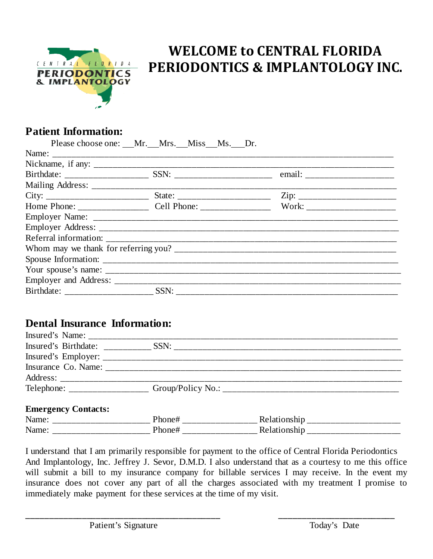

# **WELCOME to CENTRAL FLORIDA PERIODONTICS & IMPLANTOLOGY INC.**

# **Patient Information:**

| Please choose one: Mr. Mrs. Miss Ms. Dr. |                                                                                                                      |
|------------------------------------------|----------------------------------------------------------------------------------------------------------------------|
|                                          |                                                                                                                      |
|                                          | <u> 1990 - Jan James James Jan James James James James James James James James James James James James James Jam</u> |
|                                          |                                                                                                                      |
|                                          |                                                                                                                      |
|                                          |                                                                                                                      |
|                                          |                                                                                                                      |
|                                          |                                                                                                                      |
|                                          |                                                                                                                      |
|                                          |                                                                                                                      |
|                                          |                                                                                                                      |
|                                          |                                                                                                                      |
|                                          |                                                                                                                      |
|                                          |                                                                                                                      |
|                                          |                                                                                                                      |

## **Dental Insurance Information:**

| Insured's Name:        |                                              |      |
|------------------------|----------------------------------------------|------|
| Insured's Birthdate:   |                                              | SSN: |
| Insured's Employer: __ |                                              |      |
| Insurance Co. Name:    |                                              |      |
| Address:               |                                              |      |
| Telephone:             | the control of the control of the control of |      |

### **Emergency Contacts:**

| Name<br>__  | . |
|-------------|---|
| Name<br>$-$ |   |

I understand that I am primarily responsible for payment to the office of Central Florida Periodontics And Implantology, Inc. Jeffrey J. Sevor, D.M.D. I also understand that as a courtesy to me this office will submit a bill to my insurance company for billable services I may receive. In the event my insurance does not cover any part of all the charges associated with my treatment I promise to immediately make payment for these services at the time of my visit.

**\_\_\_\_\_\_\_\_\_\_\_\_\_\_\_\_\_\_\_\_\_\_\_\_\_\_\_\_\_\_\_\_\_\_\_\_\_\_\_\_\_\_ \_\_\_\_\_\_\_\_\_\_\_\_\_\_\_\_\_\_\_\_\_\_\_\_\_**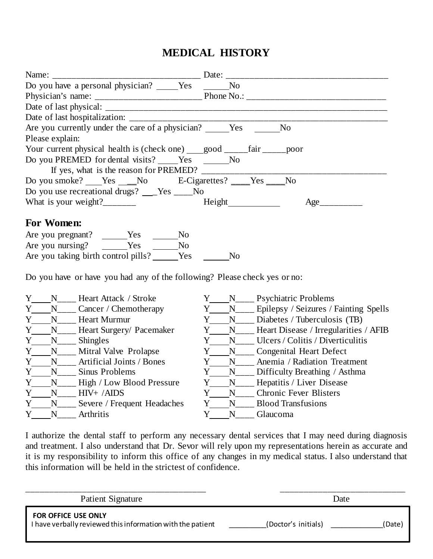# **MEDICAL HISTORY**

| Name:                                                                                         |                                                       |
|-----------------------------------------------------------------------------------------------|-------------------------------------------------------|
| Do you have a personal physician? _____Yes _______                                            | N <sub>0</sub>                                        |
|                                                                                               |                                                       |
|                                                                                               |                                                       |
|                                                                                               |                                                       |
| Are you currently under the care of a physician? ______Yes                                    | N <sub>o</sub>                                        |
| Please explain:                                                                               |                                                       |
| Your current physical health is (check one) ____good ______fair ______poor                    |                                                       |
| Do you PREMED for dental visits? _____Yes _______No                                           |                                                       |
| If yes, what is the reason for PREMED? $\_\_\_\_\_\_\_\_\_\_\_\_\_\_\_\_\_\_\_\_\_\_\_\_\_\_$ |                                                       |
| Do you smoke? ___Yes ___No E-Cigarettes? ___Yes ___No                                         |                                                       |
| Do you use recreational drugs? ___Yes ____No                                                  |                                                       |
| What is your weight?_________                                                                 | Height<br>Age                                         |
|                                                                                               |                                                       |
| For Women:                                                                                    |                                                       |
| $\rm No$                                                                                      |                                                       |
| Are you nursing? _______Yes ________No                                                        |                                                       |
| Are you taking birth control pills? ______Yes                                                 | N <sub>o</sub>                                        |
|                                                                                               |                                                       |
| Do you have or have you had any of the following? Please check yes or no:                     |                                                       |
| Y N Heart Attack / Stroke                                                                     |                                                       |
| Y<br>$N_{\_\_\_\_\_\_C}$ Cancer / Chemotherapy                                                | Y____N____ Epilepsy / Seizures / Fainting Spells      |
| <b>Heart Murmur</b><br>Y<br>N                                                                 | Y N <sub>___</sub> Diabetes / Tuberculosis (TB)       |
| Y ___ N____ Heart Surgery/ Pacemaker                                                          | Y____N____ Heart Disease / Irregularities / AFIB      |
| N<br>Shingles<br>Y                                                                            | Y N <sub>___</sub> Ulcers / Colitis / Diverticulitis  |
| N <sub>____</sub> Mitral Valve Prolapse<br>Y                                                  | Y N <sub>___</sub> Congenital Heart Defect            |
| Artificial Joints / Bones<br>N<br>Y                                                           | N <sub>___</sub> __ Anemia / Radiation Treatment<br>Y |
| $N_{\perp}$<br>Sinus Problems<br>Y                                                            | Y _________ Difficulty Breathing / Asthma             |
| N <sub>___</sub> __ High / Low Blood Pressure<br>Y                                            | Y____N_____ Hepatitis / Liver Disease                 |
| Y<br>$HIV+$ /AIDS<br>N                                                                        | Y<br><b>Chronic Fever Blisters</b><br>N               |
| $\mathbf{v}$<br>$\mathbf{r}$ and $\mathbf{r}$ and $\mathbf{r}$ and $\mathbf{r}$               | $\mathbf{r}$<br>$\mathbf{v}$<br>T(1, 1, 1)            |

Y<sub>\_\_\_\_</sub>N<sub>\_\_\_\_</sub> Severe / Frequent Headaches Y\_\_\_\_N<sub>\_\_\_\_</sub> Blood Transfusions

Y N<sub>\_\_\_</sub> Arthritis Y N<sub>\_\_\_</sub> Glaucoma

I authorize the dental staff to perform any necessary dental services that I may need during diagnosis and treatment. I also understand that Dr. Sevor will rely upon my representations herein as accurate and it is my responsibility to inform this office of any changes in my medical status. I also understand that this information will be held in the strictest of confidence.

| Patient Signature                                                                        |                     | Date   |
|------------------------------------------------------------------------------------------|---------------------|--------|
| <b>FOR OFFICE USE ONLY</b><br>I have verbally reviewed this information with the patient | (Doctor's initials) | (Date) |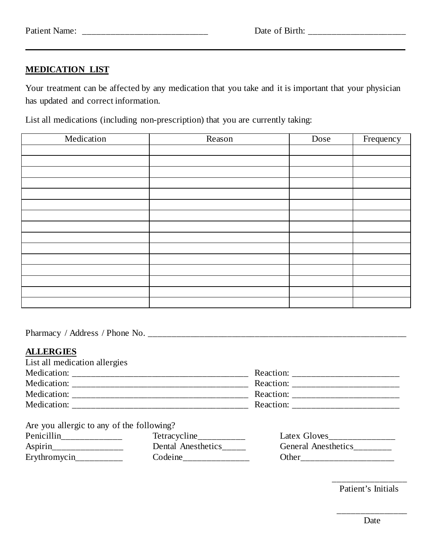### **MEDICATION LIST**

Your treatment can be affected by any medication that you take and it is important that your physician has updated and correct information.

List all medications (including non-prescription) that you are currently taking:

| Medication | Reason | Dose | Frequency |
|------------|--------|------|-----------|
|            |        |      |           |
|            |        |      |           |
|            |        |      |           |
|            |        |      |           |
|            |        |      |           |
|            |        |      |           |
|            |        |      |           |
|            |        |      |           |
|            |        |      |           |
|            |        |      |           |
|            |        |      |           |
|            |        |      |           |
|            |        |      |           |
|            |        |      |           |
|            |        |      |           |

Pharmacy / Address / Phone No. \_\_\_\_\_\_\_\_\_\_\_\_\_\_\_\_\_\_\_\_\_\_\_\_\_\_\_\_\_\_\_\_\_\_\_\_\_\_\_\_\_\_\_\_\_\_\_\_\_\_\_\_\_\_\_\_

### **ALLERGIES**

| List all medication allergies |           |
|-------------------------------|-----------|
| Medication:                   | Reaction: |
| Medication:                   | Reaction: |
| Medication:                   | Reaction: |
| Medication:                   | Reaction: |

Are you allergic to any of the following?

| Penicillin   | Tetracycline       | Latex Gloves               |
|--------------|--------------------|----------------------------|
| Aspirin      | Dental Anesthetics | <b>General Anesthetics</b> |
| Erythromycin | Codeine            | ()ther                     |

\_\_\_\_\_\_\_\_\_\_\_\_\_\_\_\_ Patient's Initials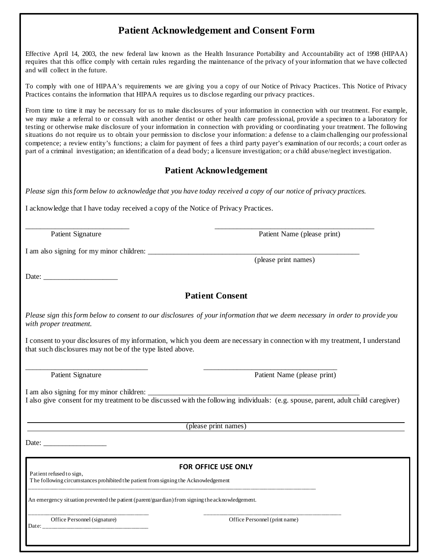### **Patient Acknowledgement and Consent Form**

Effective April 14, 2003, the new federal law known as the Health Insurance Portability and Accountability act of 1998 (HIPAA) requires that this office comply with certain rules regarding the maintenance of the privacy of your information that we have collected and will collect in the future.

To comply with one of HIPAA's requirements we are giving you a copy of our Notice of Privacy Practices. This Notice of Privacy Practices contains the information that HIPAA requires us to disclose regarding our privacy practices.

From time to time it may be necessary for us to make disclosures of your information in connection with our treatment. For example, we may make a referral to or consult with another dentist or other health care professional, provide a specimen to a laboratory for testing or otherwise make disclosure of your information in connection with providing or coordinating your treatment. The following situations do not require us to obtain your permission to disclose your information: a defense to a claim challenging our professional competence; a review entity's functions; a claim for payment of fees a third party payer's examination of our records; a court order as part of a criminal investigation; an identification of a dead body; a licensure investigation; or a child abuse/neglect investigation.

#### **Patient Acknowledgement**

*Please sign this form below to acknowledge that you have today received a copy of our notice of privacy practices.*

I acknowledge that I have today received a copy of the Notice of Privacy Practices.

 $\overline{\phantom{a}}$  , and the contribution of the contribution of the contribution of the contribution of the contribution of the contribution of the contribution of the contribution of the contribution of the contribution of the Patient Signature Patient Name (please print)

I am also signing for my minor children:

(please print names)

Date:

### **Patient Consent**

*Please sign this form below to consent to our disclosures of your information that we deem necessary in order to provide you with proper treatment.*

I consent to your disclosures of my information, which you deem are necessary in connection with my treatment, I understand that such disclosures may not be of the type listed above.

 $\overline{\phantom{a}}$  , and the contribution of the contribution of the contribution of the contribution of the contribution of the contribution of the contribution of the contribution of the contribution of the contribution of the Patient Signature Patient Name (please print)

I am also signing for my minor children: I also give consent for my treatment to be discussed with the following individuals: (e.g. spouse, parent, adult child caregiver)

(please print names)

Date:

# **FOR OFFICE USE ONLY Patient refused to sign,**

 The following circumstances prohibited the patient from signing the Acknowledgement \_\_\_\_\_\_\_\_\_\_\_\_\_\_\_\_\_\_\_\_\_\_\_\_\_\_\_\_\_\_\_\_\_\_\_\_\_\_\_\_\_\_\_\_\_\_\_\_\_\_\_\_\_\_\_\_\_\_\_\_\_\_\_\_\_\_\_\_\_\_\_\_\_\_\_\_\_\_\_\_\_\_\_\_\_\_\_\_\_\_\_\_\_\_\_\_\_\_\_\_\_

An emergency situation prevented the patient (parent/guardian) from signing the acknowledgement.

\_\_\_\_\_\_\_\_\_\_\_\_\_\_\_\_\_\_\_\_\_\_\_\_\_\_\_\_\_\_\_\_\_\_\_\_\_\_\_\_\_\_ \_\_\_\_\_\_\_\_\_\_\_\_\_\_\_\_\_\_\_\_\_\_\_\_\_\_\_\_\_\_\_\_\_\_\_\_\_\_\_\_\_\_\_\_\_\_\_\_

Date: \_\_\_\_\_\_\_\_\_\_\_\_\_\_\_\_\_\_\_\_\_\_\_\_\_\_\_\_\_\_\_\_\_\_\_\_\_

Office Personnel (signature) Office Personnel (print name)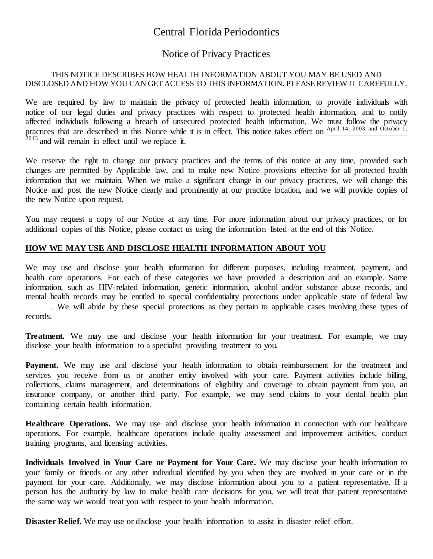### Central Florida Periodontics

### Notice of Privacy Practices

#### THIS NOTICE DESCRIBES HOW HEALTH INFORMATION ABOUT YOU MAY BE USED AND DISCLOSED AND HOW YOU CAN GET ACCESS TO THIS INFORMATION. PLEASE REVIEW IT CAREFULLY.

We are required by law to maintain the privacy of protected health information, to provide individuals with notice of our legal duties and privacy practices with respect to protected health information, and to notify affected individuals following a breach of unsecured protected health information. We must follow the privacy practices that are described in this Notice while it is in effect. This notice takes effect on  $\frac{\text{April 14, 2003 and October 1}}{\text{April 14, 2003}}$  $\frac{2013}{2013}$  and will remain in effect until we replace it.

We reserve the right to change our privacy practices and the terms of this notice at any time, provided such changes are permitted by Applicable law, and to make new Notice provisions effective for all protected health information that we maintain. When we make a significant change in our privacy practices, we will change this Notice and post the new Notice clearly and prominently at our practice location, and we will provide copies of the new Notice upon request.

You may request a copy of our Notice at any time. For more information about our privacy practices, or for additional copies of this Notice, please contact us using the information listed at the end of this Notice.

#### **HOW WE MAY USE AND DISCLOSE HEALTH INFORMATION ABOUT YOU**

We may use and disclose your health information for different purposes, including treatment, payment, and health care operations. For each of these categories we have provided a description and an example. Some information, such as HIV-related information, genetic information, alcohol and/or substance abuse records, and mental health records may be entitled to special confidentiality protections under applicable state of federal law

. We will abide by these special protections as they pertain to applicable cases involving these types of records.

**Treatment.** We may use and disclose your health information for your treatment. For example, we may disclose your health information to a specialist providing treatment to you.

Payment. We may use and disclose your health information to obtain reimbursement for the treatment and services you receive from us or another entity involved with your care. Payment activities include billing, collections, claims management, and determinations of eligibility and coverage to obtain payment from you, an insurance company, or another third party. For example, we may send claims to your dental health plan containing certain health information.

**Healthcare Operations.** We may use and disclose your health information in connection with our healthcare operations. For example, healthcare operations include quality assessment and improvement activities, conduct training programs, and licensing activities.

**Individuals Involved in Your Care or Payment for Your Care.** We may disclose your health information to your family or friends or any other individual identified by you when they are involved in your care or in the payment for your care. Additionally, we may disclose information about you to a patient representative. If a person has the authority by law to make health care decisions for you, we will treat that patient representative the same way we would treat you with respect to your health information.

**Disaster Relief.** We may use or disclose your health information to assist in disaster relief effort.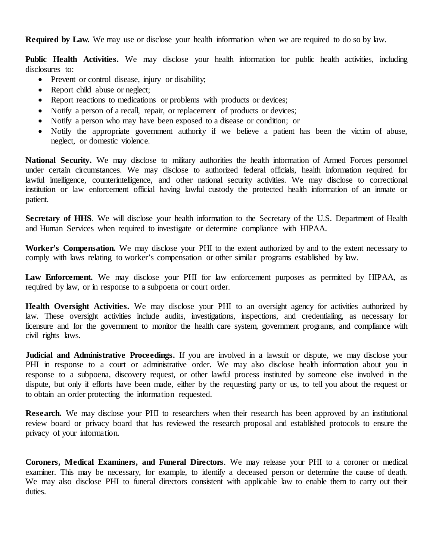**Required by Law.** We may use or disclose your health information when we are required to do so by law.

**Public Health Activities.** We may disclose your health information for public health activities, including disclosures to:

- Prevent or control disease, injury or disability;
- Report child abuse or neglect;
- Report reactions to medications or problems with products or devices;
- Notify a person of a recall, repair, or replacement of products or devices;
- Notify a person who may have been exposed to a disease or condition; or
- Notify the appropriate government authority if we believe a patient has been the victim of abuse, neglect, or domestic violence.

**National Security.** We may disclose to military authorities the health information of Armed Forces personnel under certain circumstances. We may disclose to authorized federal officials, health information required for lawful intelligence, counterintelligence, and other national security activities. We may disclose to correctional institution or law enforcement official having lawful custody the protected health information of an inmate or patient.

**Secretary of HHS**. We will disclose your health information to the Secretary of the U.S. Department of Health and Human Services when required to investigate or determine compliance with HIPAA.

Worker's Compensation. We may disclose your PHI to the extent authorized by and to the extent necessary to comply with laws relating to worker's compensation or other similar programs established by law.

Law Enforcement. We may disclose your PHI for law enforcement purposes as permitted by HIPAA, as required by law, or in response to a subpoena or court order.

**Health Oversight Activities.** We may disclose your PHI to an oversight agency for activities authorized by law. These oversight activities include audits, investigations, inspections, and credentialing, as necessary for licensure and for the government to monitor the health care system, government programs, and compliance with civil rights laws.

**Judicial and Administrative Proceedings.** If you are involved in a lawsuit or dispute, we may disclose your PHI in response to a court or administrative order. We may also disclose health information about you in response to a subpoena, discovery request, or other lawful process instituted by someone else involved in the dispute, but only if efforts have been made, either by the requesting party or us, to tell you about the request or to obtain an order protecting the information requested.

**Research.** We may disclose your PHI to researchers when their research has been approved by an institutional review board or privacy board that has reviewed the research proposal and established protocols to ensure the privacy of your information.

**Coroners, Medical Examiners, and Funeral Directors**. We may release your PHI to a coroner or medical examiner. This may be necessary, for example, to identify a deceased person or determine the cause of death. We may also disclose PHI to funeral directors consistent with applicable law to enable them to carry out their duties.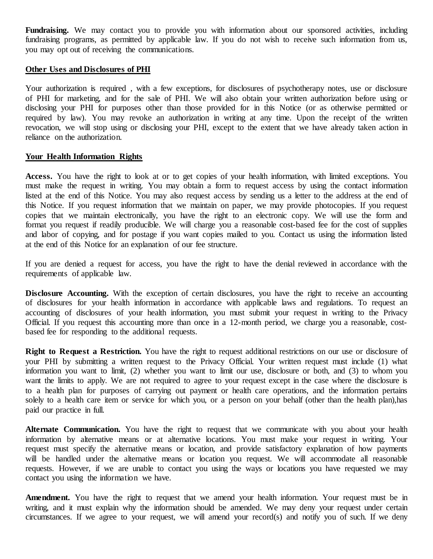Fundraising. We may contact you to provide you with information about our sponsored activities, including fundraising programs, as permitted by applicable law. If you do not wish to receive such information from us, you may opt out of receiving the communications.

#### **Other Uses and Disclosures of PHI**

Your authorization is required , with a few exceptions, for disclosures of psychotherapy notes, use or disclosure of PHI for marketing, and for the sale of PHI. We will also obtain your written authorization before using or disclosing your PHI for purposes other than those provided for in this Notice (or as otherwise permitted or required by law). You may revoke an authorization in writing at any time. Upon the receipt of the written revocation, we will stop using or disclosing your PHI, except to the extent that we have already taken action in reliance on the authorization.

#### **Your Health Information Rights**

**Access.** You have the right to look at or to get copies of your health information, with limited exceptions. You must make the request in writing. You may obtain a form to request access by using the contact information listed at the end of this Notice. You may also request access by sending us a letter to the address at the end of this Notice. If you request information that we maintain on paper, we may provide photocopies. If you request copies that we maintain electronically, you have the right to an electronic copy. We will use the form and format you request if readily producible. We will charge you a reasonable cost-based fee for the cost of supplies and labor of copying, and for postage if you want copies mailed to you. Contact us using the information listed at the end of this Notice for an explanation of our fee structure.

If you are denied a request for access, you have the right to have the denial reviewed in accordance with the requirements of applicable law.

**Disclosure Accounting.** With the exception of certain disclosures, you have the right to receive an accounting of disclosures for your health information in accordance with applicable laws and regulations. To request an accounting of disclosures of your health information, you must submit your request in writing to the Privacy Official. If you request this accounting more than once in a 12-month period, we charge you a reasonable, costbased fee for responding to the additional requests.

**Right to Request a Restriction.** You have the right to request additional restrictions on our use or disclosure of your PHI by submitting a written request to the Privacy Official. Your written request must include (1) what information you want to limit, (2) whether you want to limit our use, disclosure or both, and (3) to whom you want the limits to apply. We are not required to agree to your request except in the case where the disclosure is to a health plan for purposes of carrying out payment or health care operations, and the information pertains solely to a health care item or service for which you, or a person on your behalf (other than the health plan),has paid our practice in full.

**Alternate Communication.** You have the right to request that we communicate with you about your health information by alternative means or at alternative locations. You must make your request in writing. Your request must specify the alternative means or location, and provide satisfactory explanation of how payments will be handled under the alternative means or location you request. We will accommodate all reasonable requests. However, if we are unable to contact you using the ways or locations you have requested we may contact you using the information we have.

**Amendment.** You have the right to request that we amend your health information. Your request must be in writing, and it must explain why the information should be amended. We may deny your request under certain circumstances. If we agree to your request, we will amend your record(s) and notify you of such. If we deny